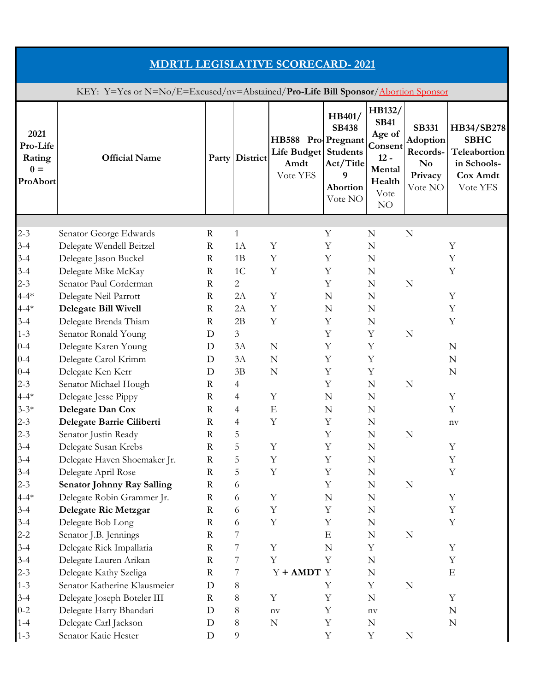| <b>MDRTL LEGISLATIVE SCORECARD-2021</b>                                          |                                           |              |                |                                                       |                                                                                    |                                                                                        |                                                                                     |                                                                                  |  |  |
|----------------------------------------------------------------------------------|-------------------------------------------|--------------|----------------|-------------------------------------------------------|------------------------------------------------------------------------------------|----------------------------------------------------------------------------------------|-------------------------------------------------------------------------------------|----------------------------------------------------------------------------------|--|--|
| KEY: Y=Yes or N=No/E=Excused/nv=Abstained/Pro-Life Bill Sponsor/Abortion Sponsor |                                           |              |                |                                                       |                                                                                    |                                                                                        |                                                                                     |                                                                                  |  |  |
| 2021<br>Pro-Life<br>Rating<br>$0 =$<br>ProAbort                                  | <b>Official Name</b>                      | Party        | District       | HB588 Pro Pregnant<br>Life Budget<br>Amdt<br>Vote YES | HB401/<br><b>SB438</b><br><b>Students</b><br>Act/Title<br>9<br>Abortion<br>Vote NO | HB132/<br><b>SB41</b><br>Age of<br>Consent<br>$12 -$<br>Mental<br>Health<br>Vote<br>NO | <b>SB331</b><br><b>Adoption</b><br>Records-<br>N <sub>0</sub><br>Privacy<br>Vote NO | HB34/SB278<br><b>SBHC</b><br>Teleabortion<br>in Schools-<br>Cox Amdt<br>Vote YES |  |  |
|                                                                                  |                                           |              |                |                                                       |                                                                                    |                                                                                        |                                                                                     |                                                                                  |  |  |
| $2 - 3$                                                                          | Senator George Edwards                    | $\mathbf R$  | $\mathbf{1}$   |                                                       | Y                                                                                  | N                                                                                      | N                                                                                   |                                                                                  |  |  |
| $3 - 4$                                                                          | Delegate Wendell Beitzel                  | $\mathbb{R}$ | 1A             | Y                                                     | Υ                                                                                  | N                                                                                      |                                                                                     | Y                                                                                |  |  |
| $3 - 4$                                                                          | Delegate Jason Buckel                     | R            | 1B             | Y                                                     | Υ                                                                                  | N                                                                                      |                                                                                     | Υ                                                                                |  |  |
| $3 - 4$                                                                          | Delegate Mike McKay                       | $\mathbf R$  | 1 <sup>C</sup> | Y                                                     | Y                                                                                  | N                                                                                      |                                                                                     | Y                                                                                |  |  |
| $2 - 3$                                                                          | Senator Paul Corderman                    | $\mathbb{R}$ | $\overline{2}$ |                                                       | Y                                                                                  | $\mathbf N$                                                                            | N                                                                                   |                                                                                  |  |  |
| $4 - 4*$                                                                         | Delegate Neil Parrott                     | $\mathbb{R}$ | 2A             | Y                                                     | N                                                                                  | N                                                                                      |                                                                                     | Y                                                                                |  |  |
| $4 - 4*$                                                                         | <b>Delegate Bill Wivell</b>               | $\mathbf R$  | 2A             | Y                                                     | $\mathbf N$                                                                        | N                                                                                      |                                                                                     | Y                                                                                |  |  |
| $3 - 4$                                                                          | Delegate Brenda Thiam                     | $\mathbf R$  | 2B             | Y                                                     | Y                                                                                  | N                                                                                      |                                                                                     | Y                                                                                |  |  |
| $1 - 3$                                                                          | Senator Ronald Young                      | D            | $\overline{3}$ |                                                       | Y                                                                                  | Y                                                                                      | $\mathbf N$                                                                         |                                                                                  |  |  |
| $0 - 4$                                                                          | Delegate Karen Young                      | D<br>D       | 3A<br>3A       | N<br>N                                                | Υ<br>Y                                                                             | Y<br>Y                                                                                 |                                                                                     | N<br>N                                                                           |  |  |
| $0 - 4$<br>$0 - 4$                                                               | Delegate Carol Krimm<br>Delegate Ken Kerr | D            | 3B             | $\mathbf N$                                           | Y                                                                                  | Y                                                                                      |                                                                                     | N                                                                                |  |  |
| $2 - 3$                                                                          | Senator Michael Hough                     | $\mathbf R$  | 4              |                                                       | Υ                                                                                  | N                                                                                      | N                                                                                   |                                                                                  |  |  |
| $4 - 4*$                                                                         | Delegate Jesse Pippy                      | $\mathbf R$  | 4              | Y                                                     | $\mathbf N$                                                                        | N                                                                                      |                                                                                     | Y                                                                                |  |  |
| $3 - 3*$                                                                         | Delegate Dan Cox                          | R            | 4              | $\mathbf E$                                           | N                                                                                  | N                                                                                      |                                                                                     | Y                                                                                |  |  |
| $2 - 3$                                                                          | Delegate Barrie Ciliberti                 | $\mathbf R$  | 4              | Y                                                     | Y                                                                                  | N                                                                                      |                                                                                     | $\operatorname{nv}$                                                              |  |  |
| $2 - 3$                                                                          | Senator Justin Ready                      | $\mathbf R$  | 5              |                                                       | Y                                                                                  | N                                                                                      | $\mathbf N$                                                                         |                                                                                  |  |  |
| $3 - 4$                                                                          | Delegate Susan Krebs                      | $\mathbf R$  | 5              | Y                                                     | Y                                                                                  | $\mathbb N$                                                                            |                                                                                     | Y                                                                                |  |  |
| $3 - 4$                                                                          | Delegate Haven Shoemaker Jr.              | R            | 5              | Y                                                     | Y                                                                                  | N                                                                                      |                                                                                     | Y                                                                                |  |  |
| $3 - 4$                                                                          | Delegate April Rose                       | $\rm R$      | 5              | $\mathbf Y$                                           | Y                                                                                  | $\mathbb N$                                                                            |                                                                                     | Y                                                                                |  |  |
| $2 - 3$                                                                          | <b>Senator Johnny Ray Salling</b>         | $\mathbf R$  | 6              |                                                       | Y                                                                                  | N                                                                                      | $\mathbb N$                                                                         |                                                                                  |  |  |
| $4 - 4*$                                                                         | Delegate Robin Grammer Jr.                | $\mathbf R$  | 6              | $\mathbf Y$                                           | N                                                                                  | N                                                                                      |                                                                                     | Y                                                                                |  |  |
| $3 - 4$                                                                          | Delegate Ric Metzgar                      | R            | 6              | Y                                                     | Y                                                                                  | N                                                                                      |                                                                                     | Y                                                                                |  |  |
| $3 - 4$                                                                          | Delegate Bob Long                         | $\mathbf R$  | 6              | $\mathbf Y$                                           | Y                                                                                  | N                                                                                      |                                                                                     | Y                                                                                |  |  |
| $2 - 2$                                                                          | Senator J.B. Jennings                     | $\mathbf R$  | 7              |                                                       | E                                                                                  | $\mathbb N$                                                                            | $\mathbb N$                                                                         |                                                                                  |  |  |
| $3 - 4$                                                                          | Delegate Rick Impallaria                  | R            | 7              | Y                                                     | N                                                                                  | Y                                                                                      |                                                                                     | Y                                                                                |  |  |
| $3 - 4$                                                                          | Delegate Lauren Arikan                    | $\mathbf R$  | 7              | $\mathbf Y$                                           | Y                                                                                  | $\mathbb N$                                                                            |                                                                                     | Y                                                                                |  |  |
| $2 - 3$                                                                          | Delegate Kathy Szeliga                    | $\mathbf R$  | 7              | $Y + AMDT$ Y                                          |                                                                                    | $\mathbb N$                                                                            |                                                                                     | E                                                                                |  |  |
| $1 - 3$                                                                          | Senator Katherine Klausmeier              | D            | 8              |                                                       | Y                                                                                  | $\mathbf Y$                                                                            | $\mathbb N$                                                                         |                                                                                  |  |  |
| $3 - 4$                                                                          | Delegate Joseph Boteler III               | R            | 8              | Y                                                     | Y                                                                                  | $\mathbb N$                                                                            |                                                                                     | Y                                                                                |  |  |
| $0 - 2$                                                                          | Delegate Harry Bhandari                   | D            | 8              | $n_{\rm V}$                                           | Y                                                                                  | $n$ v                                                                                  |                                                                                     | N                                                                                |  |  |
| $1 - 4$                                                                          | Delegate Carl Jackson                     | D            | $8\phantom{1}$ | ${\bf N}$                                             | Y                                                                                  | N                                                                                      |                                                                                     | N                                                                                |  |  |
| $1 - 3$                                                                          | Senator Katie Hester                      | D            | 9              |                                                       | $\mathbf Y$                                                                        | Y                                                                                      | $\mathbf N$                                                                         |                                                                                  |  |  |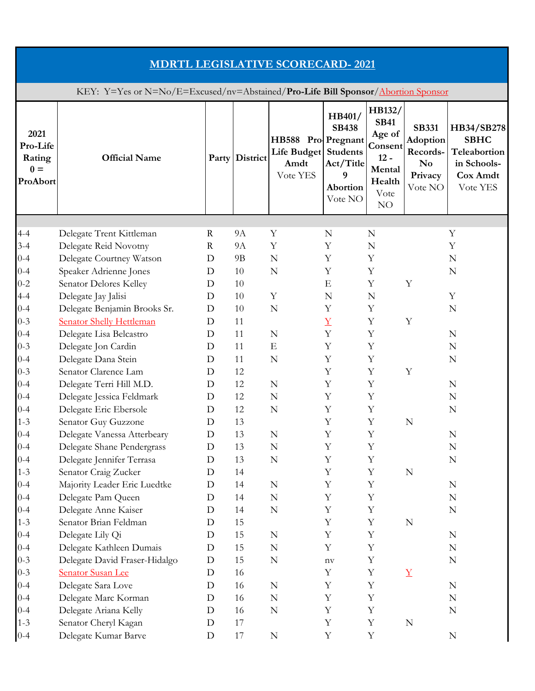| <b>MDRTL LEGISLATIVE SCORECARD-2021</b>                                          |                                                                 |             |                |                                                                |                                                                 |                                                                                        |                                                                                     |                                                                                  |  |  |
|----------------------------------------------------------------------------------|-----------------------------------------------------------------|-------------|----------------|----------------------------------------------------------------|-----------------------------------------------------------------|----------------------------------------------------------------------------------------|-------------------------------------------------------------------------------------|----------------------------------------------------------------------------------|--|--|
| KEY: Y=Yes or N=No/E=Excused/nv=Abstained/Pro-Life Bill Sponsor/Abortion Sponsor |                                                                 |             |                |                                                                |                                                                 |                                                                                        |                                                                                     |                                                                                  |  |  |
| 2021<br>Pro-Life<br>Rating<br>$0 =$<br>ProAbort                                  | <b>Official Name</b>                                            |             | Party District | HB588 Pro-Pregnant<br>Life Budget Students<br>Amdt<br>Vote YES | HB401/<br><b>SB438</b><br>Act/Title<br>9<br>Abortion<br>Vote NO | HB132/<br><b>SB41</b><br>Age of<br>Consent<br>$12 -$<br>Mental<br>Health<br>Vote<br>NO | <b>SB331</b><br><b>Adoption</b><br>Records-<br>N <sub>0</sub><br>Privacy<br>Vote NO | HB34/SB278<br><b>SBHC</b><br>Teleabortion<br>in Schools-<br>Cox Amdt<br>Vote YES |  |  |
|                                                                                  |                                                                 |             |                |                                                                |                                                                 |                                                                                        |                                                                                     |                                                                                  |  |  |
| $4 - 4$                                                                          | Delegate Trent Kittleman                                        | $\mathbf R$ | <b>9A</b>      | Y                                                              | N                                                               | N                                                                                      |                                                                                     | Y                                                                                |  |  |
| $3 - 4$                                                                          | Delegate Reid Novotny                                           | R           | <b>9A</b>      | Y                                                              | Υ                                                               | N                                                                                      |                                                                                     | Υ                                                                                |  |  |
| $0 - 4$                                                                          | Delegate Courtney Watson                                        | D           | 9B             | N                                                              | Y                                                               | Y                                                                                      |                                                                                     | N                                                                                |  |  |
| $0 - 4$<br>$0 - 2$                                                               | Speaker Adrienne Jones                                          | D<br>D      | 10<br>10       | N                                                              | Y<br>E                                                          | Y<br>Y                                                                                 | Y                                                                                   | N                                                                                |  |  |
|                                                                                  | Senator Delores Kelley<br>Delegate Jay Jalisi                   | D           | 10             | Y                                                              |                                                                 |                                                                                        |                                                                                     | Y                                                                                |  |  |
| $4 - 4$                                                                          |                                                                 | D           | 10             | N                                                              | N<br>Y                                                          | N<br>Y                                                                                 |                                                                                     | N                                                                                |  |  |
| $0 - 4$<br>$0 - 3$                                                               | Delegate Benjamin Brooks Sr.<br><b>Senator Shelly Hettleman</b> | D           | 11             |                                                                | $\underline{Y}$                                                 | Y                                                                                      | Y                                                                                   |                                                                                  |  |  |
| $0 - 4$                                                                          | Delegate Lisa Belcastro                                         | D           | 11             | N                                                              | Y                                                               | Y                                                                                      |                                                                                     | N                                                                                |  |  |
| $0 - 3$                                                                          | Delegate Jon Cardin                                             | D           | 11             | Ε                                                              | Y                                                               | Y                                                                                      |                                                                                     | N                                                                                |  |  |
| $0 - 4$                                                                          | Delegate Dana Stein                                             | D           | 11             | N                                                              | Y                                                               | Y                                                                                      |                                                                                     | N                                                                                |  |  |
| $0 - 3$                                                                          | Senator Clarence Lam                                            | D           | 12             |                                                                | Y                                                               | Y                                                                                      | Y                                                                                   |                                                                                  |  |  |
| $0 - 4$                                                                          | Delegate Terri Hill M.D.                                        | D           | 12             | N                                                              | Υ                                                               | Y                                                                                      |                                                                                     | N                                                                                |  |  |
| $0 - 4$                                                                          | Delegate Jessica Feldmark                                       | D           | 12             | N                                                              | Y                                                               | Y                                                                                      |                                                                                     | N                                                                                |  |  |
| $0 - 4$                                                                          | Delegate Eric Ebersole                                          | D           | 12             | N                                                              | Υ                                                               | Υ                                                                                      |                                                                                     | N                                                                                |  |  |
| $1 - 3$                                                                          | Senator Guy Guzzone                                             | D           | 13             |                                                                | Y                                                               | $\mathbf Y$                                                                            | ${\bf N}$                                                                           |                                                                                  |  |  |
| $0 - 4$                                                                          | Delegate Vanessa Atterbeary                                     | $\mathbf D$ | 13             | ${\bf N}$                                                      | Y                                                               | Y                                                                                      |                                                                                     | ${\bf N}$                                                                        |  |  |
| $0 - 4$                                                                          | Delegate Shane Pendergrass                                      | D           | 13             | ${\bf N}$                                                      | $\mathbf Y$                                                     | $\mathbf Y$                                                                            |                                                                                     | N                                                                                |  |  |
| $0 - 4$                                                                          | Delegate Jennifer Terrasa                                       | D           | 13             | $\mathbf N$                                                    | Y                                                               | Y                                                                                      |                                                                                     | N                                                                                |  |  |
| $1 - 3$                                                                          | Senator Craig Zucker                                            | D           | 14             |                                                                | Y                                                               | Y                                                                                      | ${\bf N}$                                                                           |                                                                                  |  |  |
| $0 - 4$                                                                          | Majority Leader Eric Luedtke                                    | D           | 14             | N                                                              | Y                                                               | Y                                                                                      |                                                                                     | N                                                                                |  |  |
| $0 - 4$                                                                          | Delegate Pam Queen                                              | D           | 14             | $\mathbf N$                                                    | Y                                                               | Y                                                                                      |                                                                                     | N                                                                                |  |  |
| $0 - 4$                                                                          | Delegate Anne Kaiser                                            | D           | 14             | $\mathbf N$                                                    | Y                                                               | Y                                                                                      |                                                                                     | N                                                                                |  |  |
| $1 - 3$                                                                          | Senator Brian Feldman                                           | D           | 15             |                                                                | Y                                                               | $\mathbf Y$                                                                            | $\mathbf N$                                                                         |                                                                                  |  |  |
| $0 - 4$                                                                          | Delegate Lily Qi                                                | D           | 15             | $\mathbf N$                                                    | $\mathbf Y$                                                     | $\mathbf Y$                                                                            |                                                                                     | ${\bf N}$                                                                        |  |  |
| $0 - 4$                                                                          | Delegate Kathleen Dumais                                        | D           | 15             | N                                                              | Y                                                               | Y                                                                                      |                                                                                     | N                                                                                |  |  |
| $0 - 3$                                                                          | Delegate David Fraser-Hidalgo                                   | D           | 15             | N                                                              | $n_{\rm V}$                                                     | $\mathbf Y$                                                                            |                                                                                     | N                                                                                |  |  |
| $0 - 3$                                                                          | <b>Senator Susan Lee</b>                                        | D           | 16             |                                                                | Y                                                               | $\mathbf Y$                                                                            | $\underline{Y}$                                                                     |                                                                                  |  |  |
| $0 - 4$                                                                          | Delegate Sara Love                                              | D           | 16             | ${\bf N}$                                                      | Y                                                               | Y                                                                                      |                                                                                     | ${\bf N}$                                                                        |  |  |
| $0 - 4$                                                                          | Delegate Marc Korman                                            | D           | 16             | $\mathbf N$                                                    | Y                                                               | Y                                                                                      |                                                                                     | N                                                                                |  |  |
| $0 - 4$                                                                          | Delegate Ariana Kelly                                           | D           | 16             | $\mathbf N$                                                    | Y                                                               | $\mathbf Y$                                                                            |                                                                                     | N                                                                                |  |  |
| $1 - 3$                                                                          | Senator Cheryl Kagan                                            | D           | 17             |                                                                | $\mathbf Y$                                                     | $\mathbf Y$                                                                            | $\mathbf N$                                                                         |                                                                                  |  |  |
| $0 - 4$                                                                          | Delegate Kumar Barve                                            | D           | 17             | ${\bf N}$                                                      | Y                                                               | Y                                                                                      |                                                                                     | ${\bf N}$                                                                        |  |  |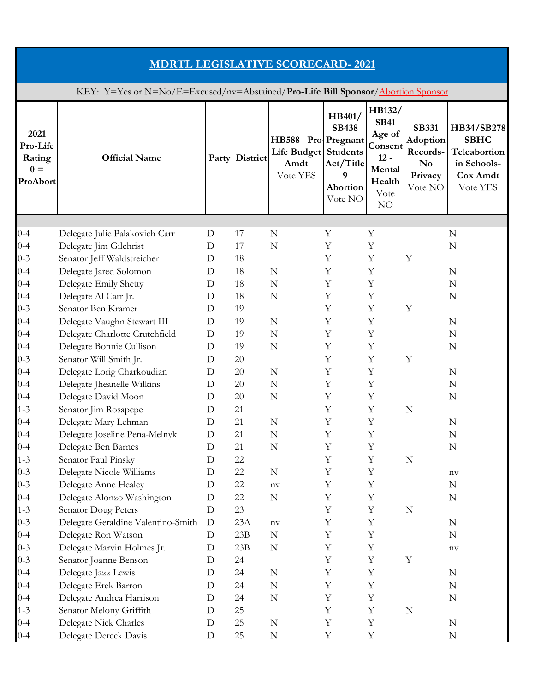| <b>MDRTL LEGISLATIVE SCORECARD-2021</b>                                          |                                                      |        |                |                                                                |                                                                 |                                                                                        |                                                                              |                                                                                  |  |  |
|----------------------------------------------------------------------------------|------------------------------------------------------|--------|----------------|----------------------------------------------------------------|-----------------------------------------------------------------|----------------------------------------------------------------------------------------|------------------------------------------------------------------------------|----------------------------------------------------------------------------------|--|--|
| KEY: Y=Yes or N=No/E=Excused/nv=Abstained/Pro-Life Bill Sponsor/Abortion Sponsor |                                                      |        |                |                                                                |                                                                 |                                                                                        |                                                                              |                                                                                  |  |  |
| 2021<br>Pro-Life<br>Rating<br>$0 =$<br>ProAbort                                  | <b>Official Name</b>                                 |        | Party District | HB588 Pro Pregnant<br>Life Budget Students<br>Amdt<br>Vote YES | HB401/<br><b>SB438</b><br>Act/Title<br>9<br>Abortion<br>Vote NO | HB132/<br><b>SB41</b><br>Age of<br>Consent<br>$12 -$<br>Mental<br>Health<br>Vote<br>NO | <b>SB331</b><br>Adoption<br>Records-<br>N <sub>0</sub><br>Privacy<br>Vote NO | HB34/SB278<br><b>SBHC</b><br>Teleabortion<br>in Schools-<br>Cox Amdt<br>Vote YES |  |  |
|                                                                                  |                                                      |        |                |                                                                |                                                                 |                                                                                        |                                                                              |                                                                                  |  |  |
| $0 - 4$                                                                          | Delegate Julie Palakovich Carr                       | D      | 17             | N                                                              | Y                                                               | Y                                                                                      |                                                                              | N                                                                                |  |  |
| $0 - 4$                                                                          | Delegate Jim Gilchrist                               | D      | 17             | N                                                              | Υ                                                               | Y                                                                                      |                                                                              | N                                                                                |  |  |
| $0 - 3$<br>$0 - 4$                                                               | Senator Jeff Waldstreicher<br>Delegate Jared Solomon | D<br>D | 18<br>18       | $\mathbf N$                                                    | Y<br>Y                                                          | Y<br>Y                                                                                 | Y                                                                            | N                                                                                |  |  |
| $0 - 4$                                                                          | Delegate Emily Shetty                                | D      | 18             | N                                                              | Y                                                               | Y                                                                                      |                                                                              | N                                                                                |  |  |
| $0 - 4$                                                                          | Delegate Al Carr Jr.                                 | D      | 18             | N                                                              | Υ                                                               | Y                                                                                      |                                                                              | N                                                                                |  |  |
| $0 - 3$                                                                          | Senator Ben Kramer                                   | D      | 19             |                                                                | Y                                                               | Y                                                                                      | $\mathbf Y$                                                                  |                                                                                  |  |  |
| $0 - 4$                                                                          | Delegate Vaughn Stewart III                          | D      | 19             | N                                                              | Y                                                               | Y                                                                                      |                                                                              | N                                                                                |  |  |
| $0 - 4$                                                                          | Delegate Charlotte Crutchfield                       | D      | 19             | N                                                              | Y                                                               | Y                                                                                      |                                                                              | N                                                                                |  |  |
| $0 - 4$                                                                          | Delegate Bonnie Cullison                             | D      | 19             | N                                                              | Y                                                               | Y                                                                                      |                                                                              | N                                                                                |  |  |
| $0 - 3$                                                                          | Senator Will Smith Jr.                               | D      | 20             |                                                                | Y                                                               | Y                                                                                      | Y                                                                            |                                                                                  |  |  |
| $0 - 4$                                                                          | Delegate Lorig Charkoudian                           | D      | 20             | N                                                              | Υ                                                               | Y                                                                                      |                                                                              | N                                                                                |  |  |
| $0 - 4$                                                                          | Delegate Jheanelle Wilkins                           | D      | 20             | N                                                              | Υ                                                               | Y                                                                                      |                                                                              | N                                                                                |  |  |
| $0 - 4$                                                                          | Delegate David Moon                                  | D      | 20             | N                                                              | Y                                                               | Y                                                                                      |                                                                              | N                                                                                |  |  |
| $1 - 3$                                                                          | Senator Jim Rosapepe                                 | D      | 21             |                                                                | Y                                                               | Y                                                                                      | N                                                                            |                                                                                  |  |  |
| $0 - 4$                                                                          | Delegate Mary Lehman                                 | D      | 21             | N                                                              | Y                                                               | $\mathbf Y$                                                                            |                                                                              | N                                                                                |  |  |
| $0 - 4$                                                                          | Delegate Joseline Pena-Melnyk                        | D      | 21             | ${\bf N}$                                                      | Y                                                               | Y                                                                                      |                                                                              | N                                                                                |  |  |
| $0 - 4$                                                                          | Delegate Ben Barnes                                  | D      | 21             | ${\bf N}$                                                      | Y                                                               | $\mathbf Y$                                                                            |                                                                              | N                                                                                |  |  |
| $1 - 3$                                                                          | Senator Paul Pinsky                                  | D      | 22             |                                                                | Y                                                               | Y                                                                                      | $\mathbb N$                                                                  |                                                                                  |  |  |
| $0 - 3$                                                                          | Delegate Nicole Williams                             | D      | 22             | ${\bf N}$                                                      | Y                                                               | $\mathbf Y$                                                                            |                                                                              | $\operatorname{nv}$                                                              |  |  |
| $0 - 3$                                                                          | Delegate Anne Healey                                 | D      | 22             | $n$ v                                                          | Y                                                               | Y                                                                                      |                                                                              | N                                                                                |  |  |
| $0 - 4$                                                                          | Delegate Alonzo Washington                           | D      | 22             | ${\bf N}$                                                      | Y                                                               | $\mathbf Y$                                                                            |                                                                              | N                                                                                |  |  |
| $1 - 3$                                                                          | Senator Doug Peters                                  | D      | 23             |                                                                | Y                                                               | Y                                                                                      | ${\bf N}$                                                                    |                                                                                  |  |  |
| $0 - 3$                                                                          | Delegate Geraldine Valentino-Smith                   | D      | 23A            | $\operatorname{nv}$                                            | Y                                                               | Y                                                                                      |                                                                              | ${\bf N}$                                                                        |  |  |
| $0 - 4$                                                                          | Delegate Ron Watson                                  | D      | 23B            | $\mathbf N$                                                    | $\mathbf Y$                                                     | Y                                                                                      |                                                                              | N                                                                                |  |  |
| $0 - 3$                                                                          | Delegate Marvin Holmes Jr.                           | D      | 23B            | N                                                              | Y                                                               | Y                                                                                      |                                                                              | $\rm nv$                                                                         |  |  |
| $0 - 3$                                                                          | Senator Joanne Benson                                | D      | 24             |                                                                | Y                                                               | $\mathbf Y$                                                                            | $\mathbf Y$                                                                  |                                                                                  |  |  |
| $0 - 4$                                                                          | Delegate Jazz Lewis                                  | D      | 24             | N                                                              | Y                                                               | Y                                                                                      |                                                                              | N                                                                                |  |  |
| $0 - 4$                                                                          | Delegate Erek Barron                                 | D      | 24             | $\mathbf N$                                                    | Y                                                               | Y                                                                                      |                                                                              | N                                                                                |  |  |
| $0 - 4$                                                                          | Delegate Andrea Harrison                             | D      | 24             | $\mathbf N$                                                    | Y                                                               | Y                                                                                      |                                                                              | N                                                                                |  |  |
| $1 - 3$                                                                          | Senator Melony Griffith                              | D      | 25             |                                                                | Y                                                               | $\mathbf Y$                                                                            | $\mathbf N$                                                                  |                                                                                  |  |  |
| $0 - 4$<br>$0 - 4$                                                               | Delegate Nick Charles<br>Delegate Dereck Davis       | D<br>D | 25<br>25       | $\mathbf N$<br>$\mathbf N$                                     | Y<br>$\mathbf Y$                                                | Y<br>$\mathbf Y$                                                                       |                                                                              | N<br>N                                                                           |  |  |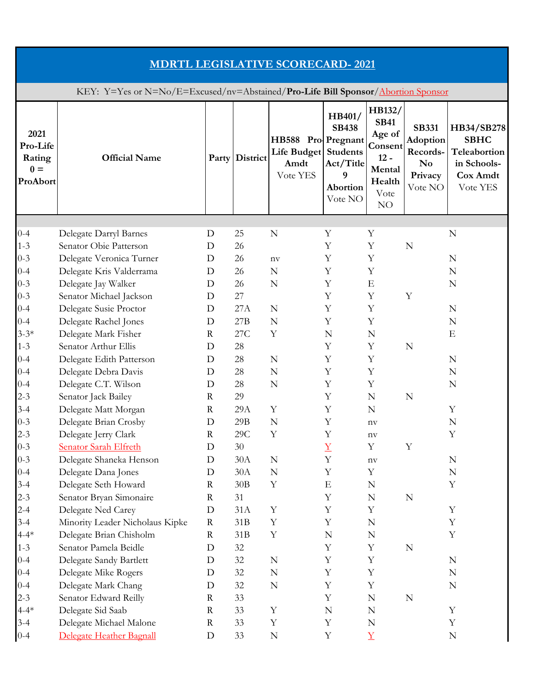| <b>MDRTL LEGISLATIVE SCORECARD-2021</b>                                          |                                                 |             |                |                                                                |                                                                 |                                                                                        |                                                                                     |                                                                                  |  |  |
|----------------------------------------------------------------------------------|-------------------------------------------------|-------------|----------------|----------------------------------------------------------------|-----------------------------------------------------------------|----------------------------------------------------------------------------------------|-------------------------------------------------------------------------------------|----------------------------------------------------------------------------------|--|--|
| KEY: Y=Yes or N=No/E=Excused/nv=Abstained/Pro-Life Bill Sponsor/Abortion Sponsor |                                                 |             |                |                                                                |                                                                 |                                                                                        |                                                                                     |                                                                                  |  |  |
| 2021<br>Pro-Life<br>Rating<br>$0 =$<br>ProAbort                                  | <b>Official Name</b>                            |             | Party District | HB588 Pro Pregnant<br>Life Budget Students<br>Amdt<br>Vote YES | HB401/<br><b>SB438</b><br>Act/Title<br>9<br>Abortion<br>Vote NO | HB132/<br><b>SB41</b><br>Age of<br>Consent<br>$12 -$<br>Mental<br>Health<br>Vote<br>NO | <b>SB331</b><br><b>Adoption</b><br>Records-<br>N <sub>0</sub><br>Privacy<br>Vote NO | HB34/SB278<br><b>SBHC</b><br>Teleabortion<br>in Schools-<br>Cox Amdt<br>Vote YES |  |  |
|                                                                                  |                                                 |             |                |                                                                |                                                                 |                                                                                        |                                                                                     |                                                                                  |  |  |
| $0 - 4$                                                                          | Delegate Darryl Barnes                          | D           | 25             | N                                                              | Y                                                               | Y                                                                                      |                                                                                     | N                                                                                |  |  |
| $1 - 3$                                                                          | Senator Obie Patterson                          | D           | 26             |                                                                | Υ                                                               | Y                                                                                      | $\mathbf N$                                                                         |                                                                                  |  |  |
| $0 - 3$                                                                          | Delegate Veronica Turner                        | D           | 26             | $n$ v                                                          | Y                                                               | Y                                                                                      |                                                                                     | N                                                                                |  |  |
| $0 - 4$                                                                          | Delegate Kris Valderrama                        | D           | 26             | $\mathbf N$                                                    | Y                                                               | $\mathbf Y$                                                                            |                                                                                     | N                                                                                |  |  |
| $0 - 3$<br>$0 - 3$                                                               | Delegate Jay Walker                             | D           | 26<br>27       | N                                                              | Y                                                               | Ε<br>Y                                                                                 | Y                                                                                   | N                                                                                |  |  |
|                                                                                  | Senator Michael Jackson                         | D           | 27A            | N                                                              | Y<br>Y                                                          | $\mathbf Y$                                                                            |                                                                                     | N                                                                                |  |  |
| $0 - 4$<br>$0 - 4$                                                               | Delegate Susie Proctor<br>Delegate Rachel Jones | D<br>D      | 27B            | N                                                              | Y                                                               | Y                                                                                      |                                                                                     | N                                                                                |  |  |
| $3 - 3*$                                                                         | Delegate Mark Fisher                            | $\mathbf R$ | 27C            | Y                                                              | N                                                               | $\mathbf N$                                                                            |                                                                                     | E                                                                                |  |  |
| $1 - 3$                                                                          | Senator Arthur Ellis                            | D           | 28             |                                                                | Y                                                               | Y                                                                                      | N                                                                                   |                                                                                  |  |  |
| $0 - 4$                                                                          | Delegate Edith Patterson                        | D           | 28             | N                                                              | Y                                                               | $\mathbf Y$                                                                            |                                                                                     | N                                                                                |  |  |
| $0 - 4$                                                                          | Delegate Debra Davis                            | D           | 28             | N                                                              | Y                                                               | $\mathbf Y$                                                                            |                                                                                     | N                                                                                |  |  |
| $0 - 4$                                                                          | Delegate C.T. Wilson                            | D           | 28             | $\mathbf N$                                                    | Y                                                               | $\mathbf Y$                                                                            |                                                                                     | N                                                                                |  |  |
| $2 - 3$                                                                          | Senator Jack Bailey                             | R           | 29             |                                                                | Y                                                               | N                                                                                      | N                                                                                   |                                                                                  |  |  |
| $3 - 4$                                                                          | Delegate Matt Morgan                            | $\mathbf R$ | 29A            | $\mathbf Y$                                                    | Y                                                               | N                                                                                      |                                                                                     | Y                                                                                |  |  |
| $0 - 3$                                                                          | Delegate Brian Crosby                           | D           | $29B$          | $\mathbf N$                                                    | Y                                                               | $\operatorname{nv}$                                                                    |                                                                                     | N                                                                                |  |  |
| $2 - 3$                                                                          | Delegate Jerry Clark                            | $\mathbf R$ | $29\mathrm{C}$ | Y                                                              | Y                                                               | $n$ v                                                                                  |                                                                                     | Y                                                                                |  |  |
| $0 - 3$                                                                          | <b>Senator Sarah Elfreth</b>                    | D           | $30\,$         |                                                                | $\underline{Y}$                                                 | $\mathbf Y$                                                                            | Y                                                                                   |                                                                                  |  |  |
| $0 - 3$                                                                          | Delegate Shaneka Henson                         | D           | 30A            | N                                                              | Y                                                               | $\operatorname{nv}$                                                                    |                                                                                     | N                                                                                |  |  |
| $0 - 4$                                                                          | Delegate Dana Jones                             | D           | 30A            | N                                                              | Y                                                               | $\mathbf Y$                                                                            |                                                                                     | N                                                                                |  |  |
| $3 - 4$                                                                          | Delegate Seth Howard                            | R           | 30B            | Y                                                              | E                                                               | N                                                                                      |                                                                                     | Y                                                                                |  |  |
| $2 - 3$                                                                          | Senator Bryan Simonaire                         | $\mathbf R$ | 31             |                                                                | Y                                                               | N                                                                                      | $\mathbb N$                                                                         |                                                                                  |  |  |
| $2 - 4$                                                                          | Delegate Ned Carey                              | D           | 31A            | Y                                                              | Y                                                               | $\mathbf Y$                                                                            |                                                                                     | Y                                                                                |  |  |
| $3 - 4$                                                                          | Minority Leader Nicholaus Kipke                 | $\rm R$     | 31B            | Y                                                              | Y                                                               | N                                                                                      |                                                                                     | Y                                                                                |  |  |
| $4 - 4*$                                                                         | Delegate Brian Chisholm                         | $\mathbf R$ | 31B            | Y                                                              | N                                                               | ${\bf N}$                                                                              |                                                                                     | Y                                                                                |  |  |
| $1 - 3$                                                                          | Senator Pamela Beidle                           | D           | 32             |                                                                | Y                                                               | Y                                                                                      | N                                                                                   |                                                                                  |  |  |
| $0 - 4$                                                                          | Delegate Sandy Bartlett                         | D           | 32             | N                                                              | Y                                                               | $\mathbf Y$                                                                            |                                                                                     | ${\bf N}$                                                                        |  |  |
| $0 - 4$                                                                          | Delegate Mike Rogers                            | D           | 32             | N                                                              | Y                                                               | $\mathbf Y$                                                                            |                                                                                     | N                                                                                |  |  |
| $0 - 4$                                                                          | Delegate Mark Chang                             | D           | 32             | N                                                              | Y                                                               | $\mathbf Y$                                                                            |                                                                                     | N                                                                                |  |  |
| $2 - 3$                                                                          | Senator Edward Reilly                           | R           | 33             |                                                                | Y                                                               | N                                                                                      | $\mathbb N$                                                                         |                                                                                  |  |  |
| $4 - 4*$                                                                         | Delegate Sid Saab                               | $\mathbf R$ | 33             | Y                                                              | $\mathbb N$                                                     | ${\bf N}$                                                                              |                                                                                     | $\mathbf Y$                                                                      |  |  |
| $3-4$                                                                            | Delegate Michael Malone                         | R           | 33             | Y                                                              | Y                                                               | N                                                                                      |                                                                                     | Y                                                                                |  |  |
| $0 - 4$                                                                          | Delegate Heather Bagnall                        | D           | 33             | $\mathbb N$                                                    | $\mathbf Y$                                                     | $\underline{Y}$                                                                        |                                                                                     | N                                                                                |  |  |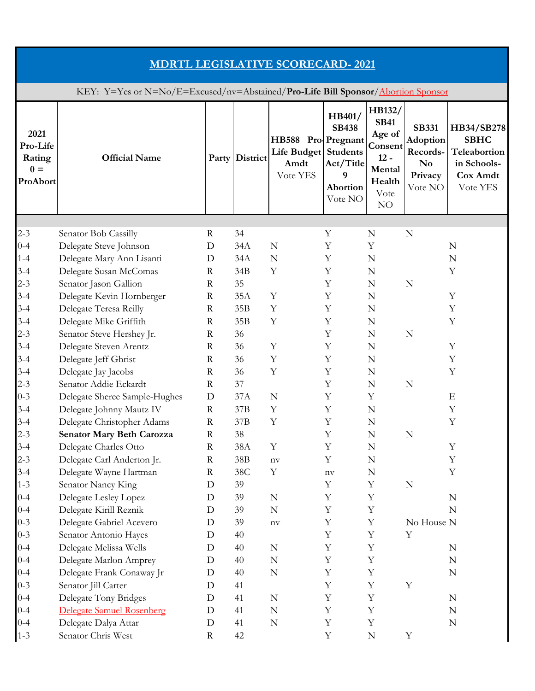| <b>MDRTL LEGISLATIVE SCORECARD-2021</b>                                          |                                                     |                            |                |                                                                |                                                                 |                                                                                        |                                                                                     |                                                                                  |  |  |
|----------------------------------------------------------------------------------|-----------------------------------------------------|----------------------------|----------------|----------------------------------------------------------------|-----------------------------------------------------------------|----------------------------------------------------------------------------------------|-------------------------------------------------------------------------------------|----------------------------------------------------------------------------------|--|--|
| KEY: Y=Yes or N=No/E=Excused/nv=Abstained/Pro-Life Bill Sponsor/Abortion Sponsor |                                                     |                            |                |                                                                |                                                                 |                                                                                        |                                                                                     |                                                                                  |  |  |
| 2021<br>Pro-Life<br>Rating<br>$0 =$<br>ProAbort                                  | <b>Official Name</b>                                |                            | Party District | HB588 Pro Pregnant<br>Life Budget Students<br>Amdt<br>Vote YES | HB401/<br><b>SB438</b><br>Act/Title<br>9<br>Abortion<br>Vote NO | HB132/<br><b>SB41</b><br>Age of<br>Consent<br>$12 -$<br>Mental<br>Health<br>Vote<br>NO | <b>SB331</b><br><b>Adoption</b><br>Records-<br>N <sub>0</sub><br>Privacy<br>Vote NO | HB34/SB278<br><b>SBHC</b><br>Teleabortion<br>in Schools-<br>Cox Amdt<br>Vote YES |  |  |
|                                                                                  |                                                     |                            |                |                                                                |                                                                 |                                                                                        |                                                                                     |                                                                                  |  |  |
| $2 - 3$                                                                          | Senator Bob Cassilly                                | R                          | 34             |                                                                | Y                                                               | N                                                                                      | N                                                                                   |                                                                                  |  |  |
| $0 - 4$                                                                          | Delegate Steve Johnson                              | D                          | 34A            | $\mathbf N$                                                    | Y                                                               | Y                                                                                      |                                                                                     | N                                                                                |  |  |
| $1 - 4$                                                                          | Delegate Mary Ann Lisanti                           | D                          | 34A            | N                                                              | Υ                                                               | N                                                                                      |                                                                                     | N                                                                                |  |  |
| $3 - 4$                                                                          | Delegate Susan McComas                              | $\mathbf R$                | 34B            | Y                                                              | Y                                                               | N                                                                                      |                                                                                     | Y                                                                                |  |  |
| $2 - 3$                                                                          | Senator Jason Gallion                               | $\mathbf R$                | 35             |                                                                | Y                                                               | N                                                                                      | N                                                                                   |                                                                                  |  |  |
| $3-4$                                                                            | Delegate Kevin Hornberger                           | $\mathbf R$                | 35A            | Y                                                              | Υ                                                               | N                                                                                      |                                                                                     | Y                                                                                |  |  |
| $3-4$<br>$3 - 4$                                                                 | Delegate Teresa Reilly                              | $\mathbf R$<br>$\mathbf R$ | 35B<br>35B     | Y<br>Y                                                         | Y<br>Y                                                          | ${\bf N}$                                                                              |                                                                                     | Y<br>Y                                                                           |  |  |
| $2 - 3$                                                                          | Delegate Mike Griffith<br>Senator Steve Hershey Jr. | $\mathbf R$                | 36             |                                                                | Y                                                               | N<br>$\mathbf N$                                                                       | N                                                                                   |                                                                                  |  |  |
| $3-4$                                                                            | Delegate Steven Arentz                              | R                          | 36             | Υ                                                              | Y                                                               | N                                                                                      |                                                                                     | Y                                                                                |  |  |
| $3-4$                                                                            | Delegate Jeff Ghrist                                | $\mathbf R$                | 36             | Y                                                              | Y                                                               | $\mathbf N$                                                                            |                                                                                     | Y                                                                                |  |  |
| $3 - 4$                                                                          | Delegate Jay Jacobs                                 | $\mathbf R$                | 36             | Y                                                              | Y                                                               | N                                                                                      |                                                                                     | Y                                                                                |  |  |
| $2 - 3$                                                                          | Senator Addie Eckardt                               | $\mathbf R$                | 37             |                                                                | Y                                                               | N                                                                                      | $\mathbf N$                                                                         |                                                                                  |  |  |
| $0 - 3$                                                                          | Delegate Sheree Sample-Hughes                       | D                          | 37A            | N                                                              | Y                                                               | $\mathbf Y$                                                                            |                                                                                     | E                                                                                |  |  |
| $3-4$                                                                            | Delegate Johnny Mautz IV                            | R                          | 37B            | Y                                                              | Y                                                               | N                                                                                      |                                                                                     | Y                                                                                |  |  |
| $3 - 4$                                                                          | Delegate Christopher Adams                          | $\mathbf R$                | 37B            | $\mathbf Y$                                                    | Y                                                               | N                                                                                      |                                                                                     | Y                                                                                |  |  |
| $2 - 3$                                                                          | Senator Mary Beth Carozza                           | $\mathbf R$                | 38             |                                                                | Y                                                               | N                                                                                      | $\mathbf N$                                                                         |                                                                                  |  |  |
| $3 - 4$                                                                          | Delegate Charles Otto                               | $\mathbf R$                | 38A            | Y                                                              | Y                                                               | ${\bf N}$                                                                              |                                                                                     | Y                                                                                |  |  |
| $2 - 3$                                                                          | Delegate Carl Anderton Jr.                          | R                          | 38B            | $\operatorname{nv}$                                            | Y                                                               | N                                                                                      |                                                                                     | Y                                                                                |  |  |
| $3 - 4$                                                                          | Delegate Wayne Hartman                              | $\mathbf R$                | 38C            | Y                                                              | $n_{\rm V}$                                                     | ${\bf N}$                                                                              |                                                                                     | Y                                                                                |  |  |
| $1 - 3$                                                                          | Senator Nancy King                                  | D                          | 39             |                                                                | Y                                                               | $\mathbf Y$                                                                            | $\mathbb N$                                                                         |                                                                                  |  |  |
| $0 - 4$                                                                          | Delegate Lesley Lopez                               | D                          | 39             | $\mathbb N$                                                    | Y                                                               | $\mathbf Y$                                                                            |                                                                                     | N                                                                                |  |  |
| $0 - 4$                                                                          | Delegate Kirill Reznik                              | D                          | 39             | N                                                              | Y                                                               | $\mathbf Y$                                                                            |                                                                                     | N                                                                                |  |  |
| $0 - 3$                                                                          | Delegate Gabriel Acevero                            | D                          | 39             | $\operatorname{nv}$                                            | Y                                                               | $\mathbf Y$                                                                            | No House N                                                                          |                                                                                  |  |  |
| $0 - 3$                                                                          | Senator Antonio Hayes                               | D                          | 40             |                                                                | Y                                                               | $\mathbf Y$                                                                            | Y                                                                                   |                                                                                  |  |  |
| $0 - 4$                                                                          | Delegate Melissa Wells                              | D                          | 40             | N                                                              | Y                                                               | $\mathbf Y$                                                                            |                                                                                     | N                                                                                |  |  |
| $0 - 4$                                                                          | Delegate Marlon Amprey                              | D                          | 40             | N                                                              | Y                                                               | $\mathbf Y$                                                                            |                                                                                     | N                                                                                |  |  |
| $0 - 4$                                                                          | Delegate Frank Conaway Jr                           | D                          | 40             | N                                                              | Y                                                               | $\mathbf Y$                                                                            |                                                                                     | N                                                                                |  |  |
| $0 - 3$                                                                          | Senator Jill Carter                                 | D                          | 41             |                                                                | Y                                                               | $\mathbf Y$                                                                            | Y                                                                                   |                                                                                  |  |  |
| $0 - 4$                                                                          | Delegate Tony Bridges                               | D                          | 41             | N                                                              | Y                                                               | $\mathbf Y$                                                                            |                                                                                     | $\mathbf N$                                                                      |  |  |
| $0 - 4$                                                                          | Delegate Samuel Rosenberg                           | D                          | 41             | N                                                              | Y                                                               | $\mathbf Y$                                                                            |                                                                                     | N                                                                                |  |  |
| $0 - 4$                                                                          | Delegate Dalya Attar                                | D                          | 41             | $\mathbb N$                                                    | Y                                                               | $\mathbf Y$                                                                            |                                                                                     | N                                                                                |  |  |
| $1 - 3$                                                                          | Senator Chris West                                  | R                          | 42             |                                                                | $\mathbf Y$                                                     | N                                                                                      | $\mathbf Y$                                                                         |                                                                                  |  |  |